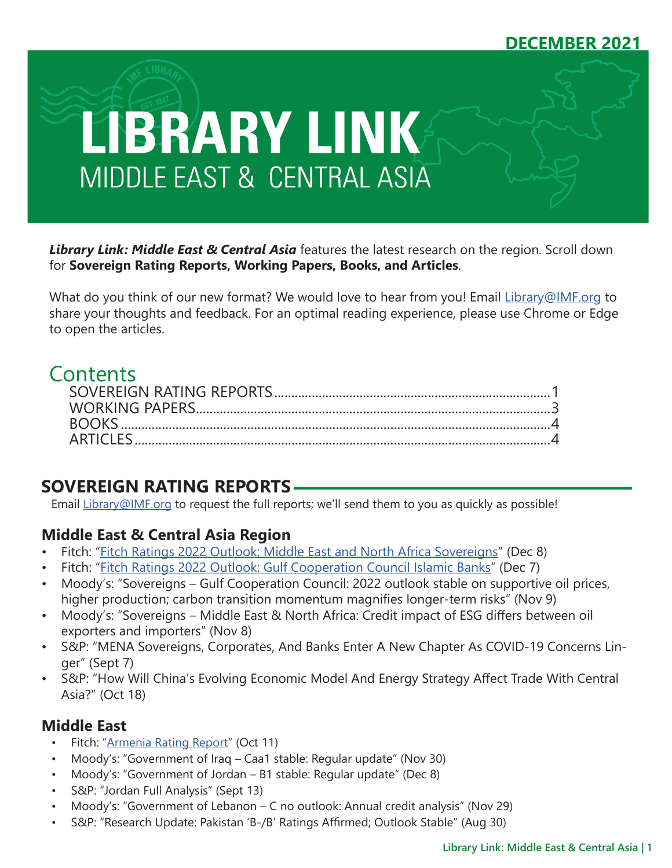# **DECEMBER 2021**



*Library Link: Middle East & Central Asia* features the latest research on the region. Scroll down for **Sovereign Rating Reports, Working Papers, Books, and Articles**.

What do you think of our new format? We would love to hear from you! Email [Library@IMF.org](mailto:Library%40IMF.org?subject=) to share your thoughts and feedback. For an optimal reading experience, please use Chrome or Edge to open the articles.

# **Contents**

# **SOVEREIGN RATING REPORTS**

Email [Library@IMF.org](mailto:Library%40IMF.org?subject=) to request the full reports; we'll send them to you as quickly as possible!

## **Middle East & Central Asia Region**

- Fitch: ["Fitch Ratings 2022 Outlook: Middle East and North Africa Sovereigns"](http://t.imfconnect.imf.org/r/?id=h628e76,3025c6f,3047bf0) (Dec 8)
- Fitch: ["Fitch Ratings 2022 Outlook: Gulf Cooperation Council Islamic Banks](http://t.imfconnect.imf.org/r/?id=h628e76,3025c6f,3047bf1)" (Dec 7)
- Moody's: "Sovereigns Gulf Cooperation Council: 2022 outlook stable on supportive oil prices, higher production; carbon transition momentum magnifies longer-term risks" (Nov 9)
- Moody's: "Sovereigns Middle East & North Africa: Credit impact of ESG differs between oil exporters and importers" (Nov 8)
- S&P: "MENA Sovereigns, Corporates, And Banks Enter A New Chapter As COVID-19 Concerns Linger" (Sept 7)
- S&P: "How Will China's Evolving Economic Model And Energy Strategy Affect Trade With Central Asia?" (Oct 18)

## **Middle East**

- Fitch: ["Armenia Rating Report](http://t.imfconnect.imf.org/r/?id=h628e76,3025c6f,3047bf2)" (Oct 11)
- Moody's: "Government of Iraq Caa1 stable: Regular update" (Nov 30)
- Moody's: "Government of Jordan B1 stable: Regular update" (Dec 8)
- S&P: "Jordan Full Analysis" (Sept 13)
- Moody's: "Government of Lebanon C no outlook: Annual credit analysis" (Nov 29)
- S&P: "Research Update: Pakistan 'B-/B' Ratings Affirmed; Outlook Stable" (Aug 30)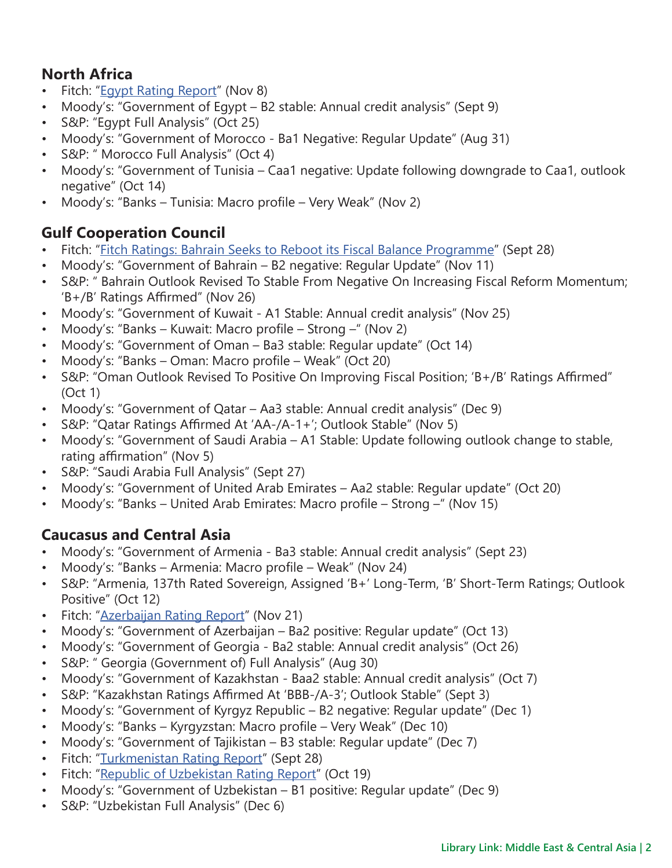## **North Africa**

- Fitch: ["Egypt Rating Report"](http://t.imfconnect.imf.org/r/?id=h628e76,3025c6f,3047bf3) (Nov 8)
- Moody's: "Government of Egypt B2 stable: Annual credit analysis" (Sept 9)
- S&P: "Egypt Full Analysis" (Oct 25)
- Moody's: "Government of Morocco Ba1 Negative: Regular Update" (Aug 31)
- S&P: " Morocco Full Analysis" (Oct 4)
- Moody's: "Government of Tunisia Caa1 negative: Update following downgrade to Caa1, outlook negative" (Oct 14)
- Moody's: "Banks Tunisia: Macro profile Very Weak" (Nov 2)

## **Gulf Cooperation Council**

- Fitch: ["Fitch Ratings: Bahrain Seeks to Reboot its Fiscal Balance Programme](http://t.imfconnect.imf.org/r/?id=h628e76,3025c6f,3047bf4)" (Sept 28)
- Moody's: "Government of Bahrain B2 negative: Regular Update" (Nov 11)
- S&P: " Bahrain Outlook Revised To Stable From Negative On Increasing Fiscal Reform Momentum; 'B+/B' Ratings Affirmed" (Nov 26)
- Moody's: "Government of Kuwait A1 Stable: Annual credit analysis" (Nov 25)
- Moody's: "Banks Kuwait: Macro profile Strong –" (Nov 2)
- Moody's: "Government of Oman Ba3 stable: Regular update" (Oct 14)
- Moody's: "Banks Oman: Macro profile Weak" (Oct 20)
- S&P: "Oman Outlook Revised To Positive On Improving Fiscal Position; 'B+/B' Ratings Affirmed" (Oct 1)
- Moody's: "Government of Qatar Aa3 stable: Annual credit analysis" (Dec 9)
- S&P: "Qatar Ratings Affirmed At 'AA-/A-1+'; Outlook Stable" (Nov 5)
- Moody's: "Government of Saudi Arabia A1 Stable: Update following outlook change to stable, rating affirmation" (Nov 5)
- S&P: "Saudi Arabia Full Analysis" (Sept 27)
- Moody's: "Government of United Arab Emirates Aa2 stable: Regular update" (Oct 20)
- Moody's: "Banks United Arab Emirates: Macro profile Strong " (Nov 15)

## **Caucasus and Central Asia**

- Moody's: "Government of Armenia Ba3 stable: Annual credit analysis" (Sept 23)
- Moody's: "Banks Armenia: Macro profile Weak" (Nov 24)
- S&P: "Armenia, 137th Rated Sovereign, Assigned 'B+' Long-Term, 'B' Short-Term Ratings; Outlook Positive" (Oct 12)
- Fitch: ["Azerbaijan Rating Report](http://t.imfconnect.imf.org/r/?id=h628e76,3025c6f,3047bf5)" (Nov 21)
- Moody's: "Government of Azerbaijan Ba2 positive: Regular update" (Oct 13)
- Moody's: "Government of Georgia Ba2 stable: Annual credit analysis" (Oct 26)
- S&P: " Georgia (Government of) Full Analysis" (Aug 30)
- Moody's: "Government of Kazakhstan Baa2 stable: Annual credit analysis" (Oct 7)
- S&P: "Kazakhstan Ratings Affirmed At 'BBB-/A-3'; Outlook Stable" (Sept 3)
- Moody's: "Government of Kyrgyz Republic B2 negative: Regular update" (Dec 1)
- Moody's: "Banks Kyrgyzstan: Macro profile Very Weak" (Dec 10)
- Moody's: "Government of Tajikistan B3 stable: Regular update" (Dec 7)
- Fitch: "[Turkmenistan Rating Report](http://t.imfconnect.imf.org/r/?id=h628e76,3025c6f,3047bf6)" (Sept 28)
- Fitch: ["Republic of Uzbekistan Rating Report](http://t.imfconnect.imf.org/r/?id=h628e76,3025c6f,3047bf7)" (Oct 19)
- Moody's: "Government of Uzbekistan B1 positive: Regular update" (Dec 9)
- S&P: "Uzbekistan Full Analysis" (Dec 6)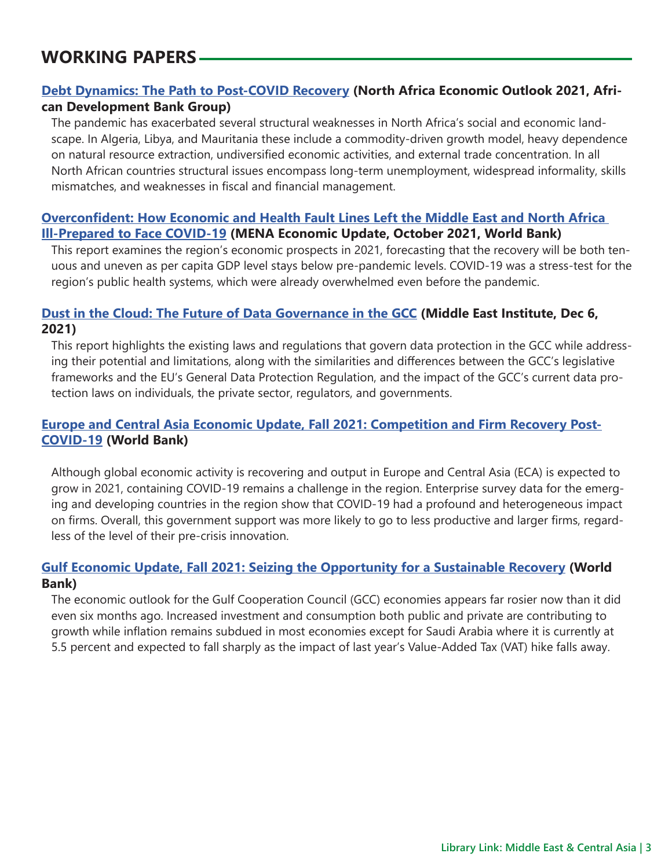# <span id="page-2-0"></span>**WORKING PAPERS**

### **[Debt Dynamics: The Path to Post-COVID Recovery](http://t.imfconnect.imf.org/r/?id=h628e76,3025c6f,3047bf8) (North Africa Economic Outlook 2021, African Development Bank Group)**

The pandemic has exacerbated several structural weaknesses in North Africa's social and economic landscape. In Algeria, Libya, and Mauritania these include a commodity-driven growth model, heavy dependence on natural resource extraction, undiversified economic activities, and external trade concentration. In all North African countries structural issues encompass long-term unemployment, widespread informality, skills mismatches, and weaknesses in fiscal and financial management.

#### **[Overconfident: How Economic and Health Fault Lines Left the Middle East and North Africa](http://t.imfconnect.imf.org/r/?id=h628e76,3025c6f,3047bf9)  [Ill-Prepared to Face COVID-19](http://t.imfconnect.imf.org/r/?id=h628e76,3025c6f,3047bf9) (MENA Economic Update, October 2021, World Bank)**

This report examines the region's economic prospects in 2021, forecasting that the recovery will be both tenuous and uneven as per capita GDP level stays below pre-pandemic levels. COVID-19 was a stress-test for the region's public health systems, which were already overwhelmed even before the pandemic.

#### **[Dust in the Cloud: The Future of Data Governance in the GCC](http://t.imfconnect.imf.org/r/?id=h628e76,3025c6f,3047bfa) (Middle East Institute, Dec 6, 2021)**

This report highlights the existing laws and regulations that govern data protection in the GCC while addressing their potential and limitations, along with the similarities and differences between the GCC's legislative frameworks and the EU's General Data Protection Regulation, and the impact of the GCC's current data protection laws on individuals, the private sector, regulators, and governments.

### **[Europe and Central Asia Economic Update, Fall 2021: Competition and Firm Recovery Post-](http://t.imfconnect.imf.org/r/?id=h628e76,3025c6f,3047bfb)[COVID-19](http://t.imfconnect.imf.org/r/?id=h628e76,3025c6f,3047bfb) (World Bank)**

Although global economic activity is recovering and output in Europe and Central Asia (ECA) is expected to grow in 2021, containing COVID-19 remains a challenge in the region. Enterprise survey data for the emerging and developing countries in the region show that COVID-19 had a profound and heterogeneous impact on firms. Overall, this government support was more likely to go to less productive and larger firms, regardless of the level of their pre-crisis innovation.

### **[Gulf Economic Update, Fall 2021: Seizing the Opportunity for a Sustainable Recovery](http://t.imfconnect.imf.org/r/?id=h628e76,3025c6f,3047bfc) (World Bank)**

The economic outlook for the Gulf Cooperation Council (GCC) economies appears far rosier now than it did even six months ago. Increased investment and consumption both public and private are contributing to growth while inflation remains subdued in most economies except for Saudi Arabia where it is currently at 5.5 percent and expected to fall sharply as the impact of last year's Value-Added Tax (VAT) hike falls away.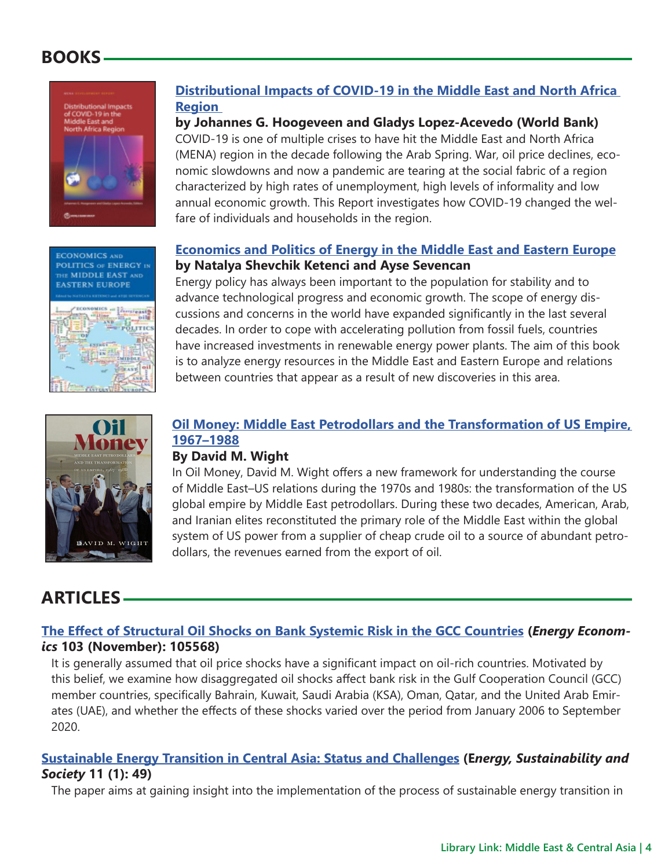# <span id="page-3-0"></span>**BOOKS**



**ECONOMICS AND POLITICS OF ENERGY IN** THE MIDDLE EAST AND **EASTERN EUROPE** 

LITH

## **[Distributional Impacts of COVID-19 in the Middle East and North Africa](http://t.imfconnect.imf.org/r/?id=h628e76,3025c6f,3047bfd)  [Region](http://t.imfconnect.imf.org/r/?id=h628e76,3025c6f,3047bfd)**

#### **by Johannes G. Hoogeveen and Gladys Lopez-Acevedo (World Bank)**

COVID-19 is one of multiple crises to have hit the Middle East and North Africa (MENA) region in the decade following the Arab Spring. War, oil price declines, economic slowdowns and now a pandemic are tearing at the social fabric of a region characterized by high rates of unemployment, high levels of informality and low annual economic growth. This Report investigates how COVID-19 changed the welfare of individuals and households in the region.

### **[Economics and Politics of Energy in the Middle East and Eastern Europe](http://t.imfconnect.imf.org/r/?id=h628e76,3025c6f,3047bfe) by Natalya Shevchik Ketenci and Ayse Sevencan**

Energy policy has always been important to the population for stability and to advance technological progress and economic growth. The scope of energy discussions and concerns in the world have expanded significantly in the last several decades. In order to cope with accelerating pollution from fossil fuels, countries have increased investments in renewable energy power plants. The aim of this book is to analyze energy resources in the Middle East and Eastern Europe and relations between countries that appear as a result of new discoveries in this area.



### **[Oil Money: Middle East Petrodollars and the Transformation of US Empire,](http://t.imfconnect.imf.org/r/?id=h628e76,3025c6f,3047bff)  [1967–1988](http://t.imfconnect.imf.org/r/?id=h628e76,3025c6f,3047bff)**

### **By David M. Wight**

In Oil Money, David M. Wight offers a new framework for understanding the course of Middle East–US relations during the 1970s and 1980s: the transformation of the US global empire by Middle East petrodollars. During these two decades, American, Arab, and Iranian elites reconstituted the primary role of the Middle East within the global system of US power from a supplier of cheap crude oil to a source of abundant petrodollars, the revenues earned from the export of oil.

# **ARTICLES**

### **[The Effect of Structural Oil Shocks on Bank Systemic Risk in the GCC Countries](http://t.imfconnect.imf.org/r/?id=h628e76,3025c6f,3047c00) (***Energy Economics* **103 (November): 105568)**

It is generally assumed that oil price shocks have a significant impact on oil-rich countries. Motivated by this belief, we examine how disaggregated oil shocks affect bank risk in the Gulf Cooperation Council (GCC) member countries, specifically Bahrain, Kuwait, Saudi Arabia (KSA), Oman, Qatar, and the United Arab Emirates (UAE), and whether the effects of these shocks varied over the period from January 2006 to September 2020.

### **[Sustainable Energy Transition in Central Asia: Status and Challenges](http://t.imfconnect.imf.org/r/?id=h628e76,3025c6f,3047c01) (E***nergy, Sustainability and Society* **11 (1): 49)**

The paper aims at gaining insight into the implementation of the process of sustainable energy transition in